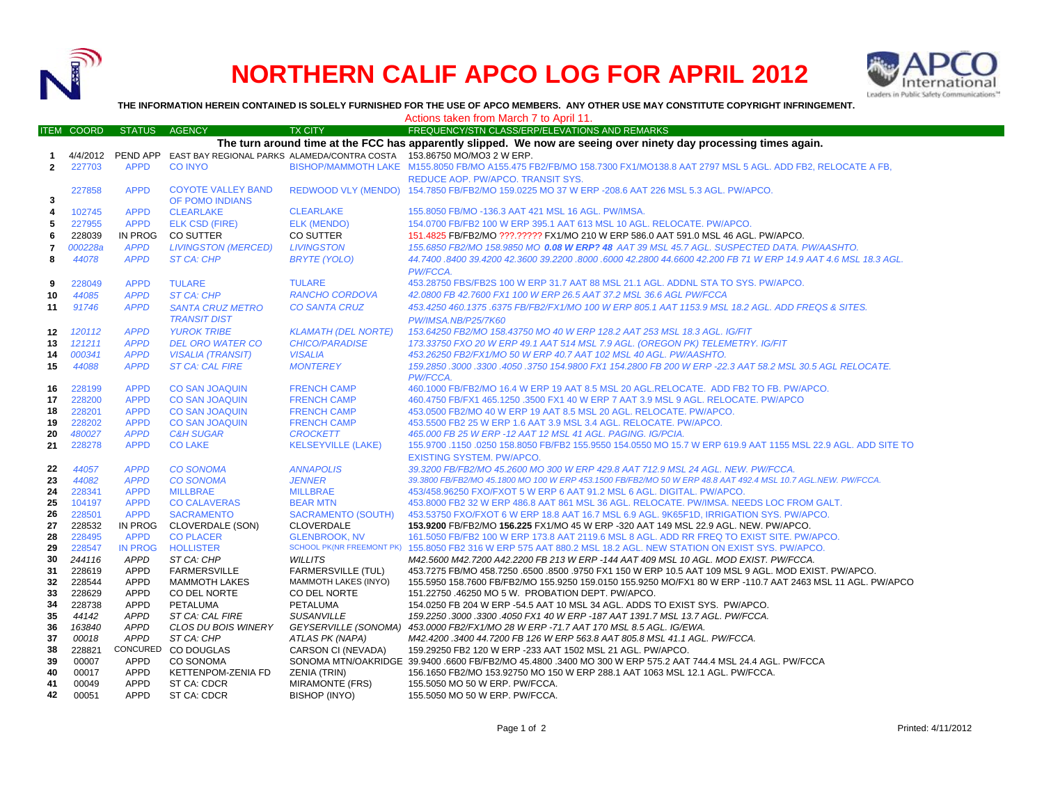

## **NORTHERN CALIF APCO LOG FOR APRIL 2012**



**THE INFORMATION HEREIN CONTAINED IS SOLELY FURNISHED FOR THE USE OF APCO MEMBERS. ANY OTHER USE MAY CONSTITUTE COPYRIGHT INFRINGEMENT.**

|                                                                                                                   |                   |                               |                                      |                                                          | Actions taken from March 7 to April 11.                                                                                                                                            |  |  |  |  |
|-------------------------------------------------------------------------------------------------------------------|-------------------|-------------------------------|--------------------------------------|----------------------------------------------------------|------------------------------------------------------------------------------------------------------------------------------------------------------------------------------------|--|--|--|--|
|                                                                                                                   | <b>ITEM COORD</b> | <b>STATUS</b>                 | <b>AGENCY</b>                        | <b>TX CITY</b>                                           | FREQUENCY/STN CLASS/ERP/ELEVATIONS AND REMARKS                                                                                                                                     |  |  |  |  |
| The turn around time at the FCC has apparently slipped. We now are seeing over ninety day processing times again. |                   |                               |                                      |                                                          |                                                                                                                                                                                    |  |  |  |  |
| 1                                                                                                                 | 4/4/2012          | PEND APP                      |                                      |                                                          | EAST BAY REGIONAL PARKS ALAMEDA/CONTRA COSTA 153.86750 MO/MO3 2 W ERP.                                                                                                             |  |  |  |  |
| $\mathbf{2}$                                                                                                      | 227703            | <b>APPD</b>                   | <b>CO INYO</b>                       |                                                          | BISHOP/MAMMOTH LAKE M155.8050 FB/MO A155.475 FB2/FB/MO 158.7300 FX1/MO138.8 AAT 2797 MSL 5 AGL. ADD FB2, RELOCATE A FB,                                                            |  |  |  |  |
|                                                                                                                   |                   |                               |                                      |                                                          | REDUCE AOP. PW/APCO. TRANSIT SYS.                                                                                                                                                  |  |  |  |  |
|                                                                                                                   | 227858            | <b>APPD</b>                   | <b>COYOTE VALLEY BAND</b>            |                                                          | REDWOOD VLY (MENDO) 154.7850 FB/FB2/MO 159.0225 MO 37 W ERP -208.6 AAT 226 MSL 5.3 AGL. PW/APCO.                                                                                   |  |  |  |  |
| 3                                                                                                                 |                   |                               | OF POMO INDIANS                      |                                                          |                                                                                                                                                                                    |  |  |  |  |
| 4                                                                                                                 | 102745            | <b>APPD</b>                   | <b>CLEARLAKE</b>                     | <b>CLEARLAKE</b>                                         | 155.8050 FB/MO -136.3 AAT 421 MSL 16 AGL. PW/IMSA.                                                                                                                                 |  |  |  |  |
| 5                                                                                                                 | 227955            | <b>APPD</b>                   | <b>ELK CSD (FIRE)</b>                | <b>ELK (MENDO)</b>                                       | 154.0700 FB/FB2 100 W ERP 395.1 AAT 613 MSL 10 AGL. RELOCATE. PW/APCO.                                                                                                             |  |  |  |  |
| 6                                                                                                                 | 228039            | IN PROG                       | <b>CO SUTTER</b>                     | CO SUTTER                                                | 151.4825 FB/FB2/MO ???.????? FX1/MO 210 W ERP 586.0 AAT 591.0 MSL 46 AGL. PW/APCO.                                                                                                 |  |  |  |  |
| 7                                                                                                                 | 000228a           | <b>APPD</b>                   | <b>LIVINGSTON (MERCED)</b>           | <b>LIVINGSTON</b>                                        | 155.6850 FB2/MO 158.9850 MO 0.08 W ERP? 48 AAT 39 MSL 45.7 AGL. SUSPECTED DATA. PW/AASHTO.                                                                                         |  |  |  |  |
| 8                                                                                                                 | 44078             | <b>APPD</b>                   | <b>ST CA: CHP</b>                    | <b>BRYTE (YOLO)</b>                                      | 44.7400 .8400 39.4200 42.3600 39.2200 .8000 .6000 42.2800 44.6600 42.200 FB 71 W ERP 14.9 AAT 4.6 MSL 18.3 AGL.                                                                    |  |  |  |  |
|                                                                                                                   |                   |                               |                                      |                                                          | PW/FCCA.                                                                                                                                                                           |  |  |  |  |
| 9                                                                                                                 | 228049            | <b>APPD</b>                   | <b>TULARE</b>                        | <b>TULARE</b>                                            | 453.28750 FBS/FB2S 100 W ERP 31.7 AAT 88 MSL 21.1 AGL, ADDNL STA TO SYS, PW/APCO,                                                                                                  |  |  |  |  |
| 10                                                                                                                | 44085             | <b>APPD</b>                   | <b>ST CA: CHP</b>                    | <b>RANCHO CORDOVA</b>                                    | 42.0800 FB 42.7600 FX1 100 W ERP 26.5 AAT 37.2 MSL 36.6 AGL PW/FCCA                                                                                                                |  |  |  |  |
| 11                                                                                                                | 91746             | <b>APPD</b>                   | <b>SANTA CRUZ METRO</b>              | <b>CO SANTA CRUZ</b>                                     | 453.4250 460.1375.6375 FB/FB2/FX1/MO 100 W ERP 805.1 AAT 1153.9 MSL 18.2 AGL. ADD FREQS & SITES.                                                                                   |  |  |  |  |
|                                                                                                                   |                   |                               | <b>TRANSIT DIST</b>                  |                                                          | PW/IMSA.NB/P25/7K60                                                                                                                                                                |  |  |  |  |
| 12                                                                                                                | 120112            | <b>APPD</b>                   | <b>YUROK TRIBE</b>                   | <b>KLAMATH (DEL NORTE)</b>                               | 153.64250 FB2/MO 158.43750 MO 40 W ERP 128.2 AAT 253 MSL 18.3 AGL. IG/FIT                                                                                                          |  |  |  |  |
| 13                                                                                                                | 121211            | <b>APPD</b>                   | <b>DEL ORO WATER CO</b>              | <b>CHICO/PARADISE</b>                                    | 173.33750 FXO 20 W ERP 49.1 AAT 514 MSL 7.9 AGL. (OREGON PK) TELEMETRY. IG/FIT                                                                                                     |  |  |  |  |
| 14                                                                                                                | 000341            | <b>APPD</b>                   | <b>VISALIA (TRANSIT)</b>             | <b>VISALIA</b>                                           | 453.26250 FB2/FX1/MO 50 W ERP 40.7 AAT 102 MSL 40 AGL. PW/AASHTO.                                                                                                                  |  |  |  |  |
| 15                                                                                                                | 44088             | <b>APPD</b>                   | <b>ST CA: CAL FIRE</b>               | <b>MONTEREY</b>                                          | 159.2850 .3000 .3300 .4050 .3750 154.9800 FX1 154.2800 FB 200 W ERP -22.3 AAT 58.2 MSL 30.5 AGL RELOCATE.                                                                          |  |  |  |  |
|                                                                                                                   |                   |                               |                                      |                                                          | PW/FCCA.                                                                                                                                                                           |  |  |  |  |
| 16                                                                                                                | 228199            | <b>APPD</b>                   | <b>CO SAN JOAQUIN</b>                | <b>FRENCH CAMP</b>                                       | 460.1000 FB/FB2/MO 16.4 W ERP 19 AAT 8.5 MSL 20 AGL.RELOCATE. ADD FB2 TO FB. PW/APCO.                                                                                              |  |  |  |  |
| 17                                                                                                                | 228200            | <b>APPD</b>                   | <b>CO SAN JOAQUIN</b>                | <b>FRENCH CAMP</b>                                       | 460.4750 FB/FX1 465.1250 .3500 FX1 40 W ERP 7 AAT 3.9 MSL 9 AGL. RELOCATE. PW/APCO                                                                                                 |  |  |  |  |
| 18                                                                                                                | 228201            | <b>APPD</b>                   | <b>CO SAN JOAQUIN</b>                | <b>FRENCH CAMP</b>                                       | 453.0500 FB2/MO 40 W ERP 19 AAT 8.5 MSL 20 AGL. RELOCATE. PW/APCO.                                                                                                                 |  |  |  |  |
| 19                                                                                                                | 228202            | <b>APPD</b>                   | <b>CO SAN JOAQUIN</b>                | <b>FRENCH CAMP</b>                                       | 453.5500 FB2 25 W ERP 1.6 AAT 3.9 MSL 3.4 AGL. RELOCATE. PW/APCO.                                                                                                                  |  |  |  |  |
| 20                                                                                                                | 480027            | <b>APPD</b>                   | <b>C&amp;H SUGAR</b>                 | <b>CROCKETT</b>                                          | 465.000 FB 25 W ERP -12 AAT 12 MSL 41 AGL. PAGING. IG/PCIA.                                                                                                                        |  |  |  |  |
| 21                                                                                                                | 228278            | <b>APPD</b>                   | <b>CO LAKE</b>                       | <b>KELSEYVILLE (LAKE)</b>                                | 155.9700 .1150 .0250 158.8050 FB/FB2 155.9550 154.0550 MO 15.7 W ERP 619.9 AAT 1155 MSL 22.9 AGL. ADD SITE TO                                                                      |  |  |  |  |
|                                                                                                                   |                   |                               |                                      |                                                          | <b>EXISTING SYSTEM. PW/APCO.</b>                                                                                                                                                   |  |  |  |  |
| 22                                                                                                                | 44057             | <b>APPD</b>                   | <b>CO SONOMA</b>                     | <b>ANNAPOLIS</b>                                         | 39.3200 FB/FB2/MO 45.2600 MO 300 W ERP 429.8 AAT 712.9 MSL 24 AGL. NEW. PW/FCCA.                                                                                                   |  |  |  |  |
| 23                                                                                                                | 44082             | <b>APPD</b>                   | <b>CO SONOMA</b>                     | <b>JENNER</b>                                            | 39.3800 FB/FB2/MO 45.1800 MO 100 W ERP 453.1500 FB/FB2/MO 50 W ERP 48.8 AAT 492.4 MSL 10.7 AGL.NEW. PW/FCCA.                                                                       |  |  |  |  |
| 24                                                                                                                | 228341            | <b>APPD</b>                   | <b>MILLBRAE</b>                      | <b>MILLBRAE</b>                                          | 453/458.96250 FXO/FXOT 5 W ERP 6 AAT 91.2 MSL 6 AGL. DIGITAL. PW/APCO.                                                                                                             |  |  |  |  |
| 25                                                                                                                | 104197            | <b>APPD</b>                   | <b>CO CALAVERAS</b>                  | <b>BEAR MTN</b>                                          | 453.8000 FB2 32 W ERP 486.8 AAT 861 MSL 36 AGL. RELOCATE. PW/IMSA. NEEDS LOC FROM GALT.                                                                                            |  |  |  |  |
| 26                                                                                                                | 228501            | <b>APPD</b>                   | <b>SACRAMENTO</b>                    | <b>SACRAMENTO (SOUTH)</b>                                | 453.53750 FXO/FXOT 6 W ERP 18.8 AAT 16.7 MSL 6.9 AGL. 9K65F1D, IRRIGATION SYS. PW/APCO.                                                                                            |  |  |  |  |
| 27<br>28                                                                                                          | 228532<br>228495  | IN PROG                       | CLOVERDALE (SON)                     | <b>CLOVERDALE</b>                                        | 153.9200 FB/FB2/MO 156.225 FX1/MO 45 W ERP -320 AAT 149 MSL 22.9 AGL. NEW. PW/APCO.                                                                                                |  |  |  |  |
| 29                                                                                                                | 228547            | <b>APPD</b><br><b>IN PROG</b> | <b>CO PLACER</b><br><b>HOLLISTER</b> | <b>GLENBROOK, NV</b><br><b>SCHOOL PK(NR FREEMONT PK)</b> | 161.5050 FB/FB2 100 W ERP 173.8 AAT 2119.6 MSL 8 AGL. ADD RR FREQ TO EXIST SITE, PW/APCO,<br>155.8050 FB2 316 W ERP 575 AAT 880.2 MSL 18.2 AGL. NEW STATION ON EXIST SYS. PW/APCO. |  |  |  |  |
| 30                                                                                                                | 244116            | <b>APPD</b>                   | ST CA: CHP                           | <b>WILLITS</b>                                           | M42.5600 M42.7200 A42.2200 FB 213 W ERP -144 AAT 409 MSL 10 AGL. MOD EXIST. PW/FCCA.                                                                                               |  |  |  |  |
| 31                                                                                                                | 228619            | <b>APPD</b>                   | <b>FARMERSVILLE</b>                  | <b>FARMERSVILLE (TUL)</b>                                | 453.7275 FB/MO 458.7250 .6500 .8500 .9750 FX1 150 W ERP 10.5 AAT 109 MSL 9 AGL. MOD EXIST. PW/APCO.                                                                                |  |  |  |  |
| 32                                                                                                                | 228544            | <b>APPD</b>                   | <b>MAMMOTH LAKES</b>                 | <b>MAMMOTH LAKES (INYO)</b>                              | 155.5950 158.7600 FB/FB2/MO 155.9250 159.0150 155.9250 MO/FX1 80 W ERP -110.7 AAT 2463 MSL 11 AGL. PW/APCO                                                                         |  |  |  |  |
| 33                                                                                                                | 228629            | <b>APPD</b>                   | CO DEL NORTE                         | CO DEL NORTE                                             | 151.22750 .46250 MO 5 W. PROBATION DEPT. PW/APCO.                                                                                                                                  |  |  |  |  |
| 34                                                                                                                | 228738            | <b>APPD</b>                   | PETALUMA                             | <b>PETALUMA</b>                                          | 154.0250 FB 204 W ERP -54.5 AAT 10 MSL 34 AGL. ADDS TO EXIST SYS. PW/APCO.                                                                                                         |  |  |  |  |
| 35                                                                                                                | 44142             | <b>APPD</b>                   | ST CA: CAL FIRE                      | <b>SUSANVILLE</b>                                        | 159.2250 .3000 .3300 .4050 FX1 40 W ERP -187 AAT 1391.7 MSL 13.7 AGL. PW/FCCA.                                                                                                     |  |  |  |  |
| 36                                                                                                                | 163840            | <b>APPD</b>                   | CLOS DU BOIS WINERY                  | <b>GEYSERVILLE (SONOMA)</b>                              | 453.0000 FB2/FX1/MO 28 W ERP -71.7 AAT 170 MSL 8.5 AGL. IG/EWA.                                                                                                                    |  |  |  |  |
| 37                                                                                                                | 00018             | <b>APPD</b>                   | ST CA: CHP                           | ATLAS PK (NAPA)                                          | M42.4200.3400 44.7200 FB 126 W ERP 563.8 AAT 805.8 MSL 41.1 AGL. PW/FCCA.                                                                                                          |  |  |  |  |
| 38                                                                                                                | 228821            | CONCURED                      | CO DOUGLAS                           | CARSON CI (NEVADA)                                       | 159.29250 FB2 120 W ERP -233 AAT 1502 MSL 21 AGL. PW/APCO.                                                                                                                         |  |  |  |  |
| 39                                                                                                                | 00007             | APPD                          | CO SONOMA                            |                                                          | SONOMA MTN/OAKRIDGE 39.9400 .6600 FB/FB2/MO 45.4800 .3400 MO 300 W ERP 575.2 AAT 744.4 MSL 24.4 AGL. PW/FCCA                                                                       |  |  |  |  |
| 40                                                                                                                | 00017             | <b>APPD</b>                   | KETTENPOM-ZENIA FD                   | ZENIA (TRIN)                                             | 156.1650 FB2/MO 153.92750 MO 150 W ERP 288.1 AAT 1063 MSL 12.1 AGL. PW/FCCA.                                                                                                       |  |  |  |  |
| 41                                                                                                                | 00049             | <b>APPD</b>                   | ST CA: CDCR                          | <b>MIRAMONTE (FRS)</b>                                   | 155.5050 MO 50 W ERP. PW/FCCA.                                                                                                                                                     |  |  |  |  |
| 42                                                                                                                | 00051             | <b>APPD</b>                   | ST CA: CDCR                          | BISHOP (INYO)                                            | 155.5050 MO 50 W ERP. PW/FCCA.                                                                                                                                                     |  |  |  |  |